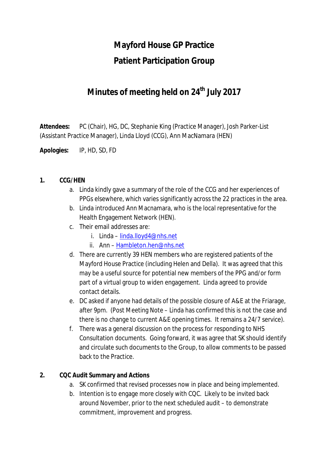# **Mayford House GP Practice Patient Participation Group**

# **Minutes of meeting held on 24 th July 2017**

**Attendees:** PC (Chair), HG, DC, Stephanie King (Practice Manager), Josh Parker-List (Assistant Practice Manager), Linda Lloyd (CCG), Ann MacNamara (HEN)

**Apologies:** IP, HD, SD, FD

#### **1. CCG/HEN**

- a. Linda kindly gave a summary of the role of the CCG and her experiences of PPGs elsewhere, which varies significantly across the 22 practices in the area.
- b. Linda introduced Ann Macnamara, who is the local representative for the Health Engagement Network (HEN).
- c. Their email addresses are:
	- i. Linda linda.lloyd4@nhs.net
	- ii. Ann Hambleton.hen@nhs.net
- d. There are currently 39 HEN members who are registered patients of the Mayford House Practice (including Helen and Della). It was agreed that this may be a useful source for potential new members of the PPG and/or form part of a virtual group to widen engagement. Linda agreed to provide contact details.
- e. DC asked if anyone had details of the possible closure of A&E at the Friarage, after 9pm. (Post Meeting Note – Linda has confirmed this is not the case and there is no change to current A&E opening times. It remains a 24/7 service).
- f. There was a general discussion on the process for responding to NHS Consultation documents. Going forward, it was agree that SK should identify and circulate such documents to the Group, to allow comments to be passed back to the Practice.

#### **2. CQC Audit Summary and Actions**

- a. SK confirmed that revised processes now in place and being implemented.
- b. Intention is to engage more closely with CQC. Likely to be invited back around November, prior to the next scheduled audit – to demonstrate commitment, improvement and progress.